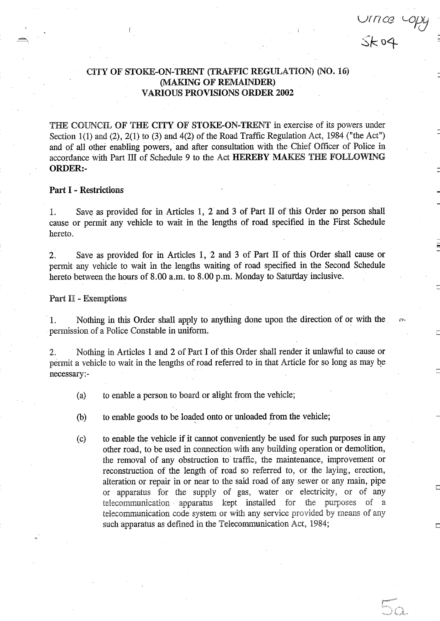## CITY OF STOKE-ON-TRENT (TRAFFIC REGULATION) (NO. 16) MAKING OF REMAINDER) VARIOUS PROVISIONS ORDER <sup>2002</sup>

Urrice Lopy

50

THE COUNCIL OF THE CITY OF STOKE-ON-TRENT in exercise of its powers under Section 1(1) and (2), 2(1) to (3) and 4(2) of the Road Traffic Regulation Act, 1984 ("the Act") and of all other enabling powers, and after consultation with the Chief Officer of Police in accordance with Part III of Schedule <sup>9</sup> to the Act HEREBY MAKES THE FOLLOWING ORDER:-

### Part <sup>I</sup> - Restrictions

1. Save as provided for in Articles 1, 2 and 3 of Part II of this Order no person shall cause or permit any vehicle to wait in the lengths of road specified in the First Schedule hereto.

2. Save as provided for in Articles 1, 2 and <sup>3</sup> of Part II of this Order shall cause or permit any vehicle to wait in the lengths waiting of road specified in the Second Schedule hereto between the hours of 8.00 a.m. to 8.00 p.m. Monday to Saturday inclusive.

#### Part II - Exemptions

1. Nothing in this Order shall apply to anything done upon the direction of or with the permission of a Police Constable in uniform.

2. Nothing in Articles <sup>1</sup> and 2 of Part <sup>I</sup> of this Order shall render it unlawful to cause or permit a vehicle to wait in the lengths of road referred to in that Article for so long as may be necessary:-

- (a) to enable a person to board or alight from the vehicle;
- (b) to enable goods to be loaded onto or unloaded from the vehicle;
- (c) to enable the vehicle if it cannot conveniently be used for such purposes in any other road, to be used in connection with any building operation or demolition, the removal of any obstruction to traffic, the maintenance, improvement or reconstruction of the length of road so referred to, or the laying, erection, alteration or repair in or near to the said road of any sewer or any main, pipe or apparatus for the supply of gas, water or electricity, or of any telecommunication - apparatus kept installed for the purposes of a telecommunication code system or with any service provided by means of any such apparatus as defined in the Telecommunication Act, 1984;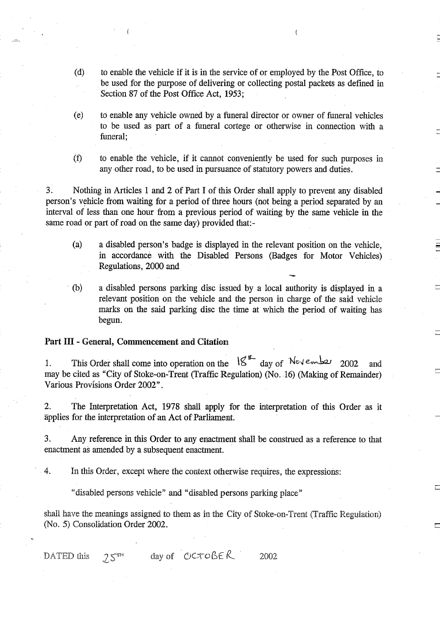- (d) to enable the vehicle if it is in the service of or employed by the Post Office, to be used for the purpose of delivering or collecting postal packets as defined in Section 87 of the Post Office Act, 1953;
- (e) to enable any vehicle owned by a funeral director or owner of funeral vehicles to be used as part of a funeral cortege or otherwise in connection with a funeral:
- $(f)$ to enable the vehicle, if it cannot conveniently be used for such purposes in any other road, to be used in pursuance of statutory powers and duties .

3 . Nothing in Articles <sup>1</sup> and 2 of Part <sup>I</sup> of this Order shall apply to prevent any disabled person's vehicle from waiting for a period of three hours (not being a period separated by an interval of less than one hour from a previous period of waiting by the same vehicle in the same road or part of road on the same day) provided that:-

- (a) a disabled person's badge is displayed in the relevant position on the vehicle, in accordance with the Disabled Persons (Badges for Motor Vehicles) Regulations, 2000 and
- (b) a disabled persons parking disc issued by a local authority is displayed in a relevant position on the vehicle and the person in charge of the said vehicle marks on the said parking disc the time at which the period of waiting has begun.

## Part III - General, Commencement and Citation

1. This Order shall come into operation on the  $18^{12}$  day of  $N_{e\vee e}$  and 2002 and may be cited as "City of Stoke-on-Trent (Traffic Regulation) (No. .16) (Making of Remainder) Various Provisions Order 2002" .

2. The Interpretation Act, 1978 shall apply for the interpretation of this Order as it applies for the interpretation of an Act of Parliament.

<sup>3</sup> . Any reference in this Order to any enactment shall be construed as <sup>a</sup> reference to that enactment as amended by a subsequent enactment.

4. In this Order, except where the context otherwise requires, the expressions:

"disabled persons vehicle" and "disabled persons parking place"

shall have the meanings assigned to them as in the City of Stoke-on-Trent (Traffic Regulation) (No. S) Consolidation Order 2002.

day of  $OCTOBE R$  2002 DATED this  $25<sup>m</sup>$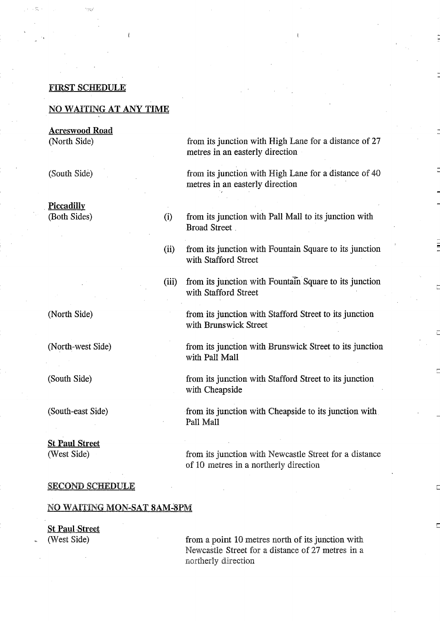### FIRST SCHEDULE

## NO WAITING AT ANY TIME

Acreswood Road (North Side)

(South Side)

**Piccadilly** (Both Sides) (i)

(North Side)

(North-west Side)

(South Side)

(South-east Side)

# St Paul Street

(West Side)

from its junction with High Lane for a distance of 27 metres in an easterly direction

from its junction with High Lane for a distance of 40 metres in an easterly direction

- from its junction with Pall Mall to its junction with Broad Street \_
- from its junction with Fountain Square to its junction with Stafford Street (ii)
- from its junction with Fountain Square to its junction with Stafford Street (iii)

from its junction with Stafford Street to its junction with Brunswick Street

from its junction with Brunswick Street to its junction with Pall Mall

from its junction with Stafford Street to its junction with Cheapside

from its junction with Cheapside to its junction with Pall Mall

from its junction with Newcastle Street for a distance of 10 metres in a northerly direction

#### SECOND SCHEDULE

#### NO WAITING MON-SAT 8AM-SPM

St Paul Street (West Side)

from a point 10 metres north of its junction with Newcastle Street for a distance of 27 metres in a northerly direction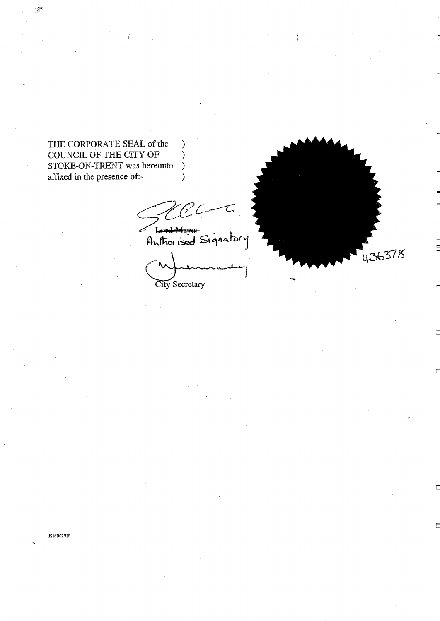THE CORPORATE SEAL of the  $\overline{)}$ COUNCIL OF THE CITY OF )<br>STOKE-ON-TRENT was hereunto ) STOKE-ON-TRENT was hereunto )<br>affixed in the presence of:affixed in the presence of:-

 $\mathcal{P}^{\text{MS}}_{\text{max}}$ 

Lord Mayor<br>Authorised Signatory

 $\overline{1}$ City Secretary

**F**<br>436378

IS16B02/HB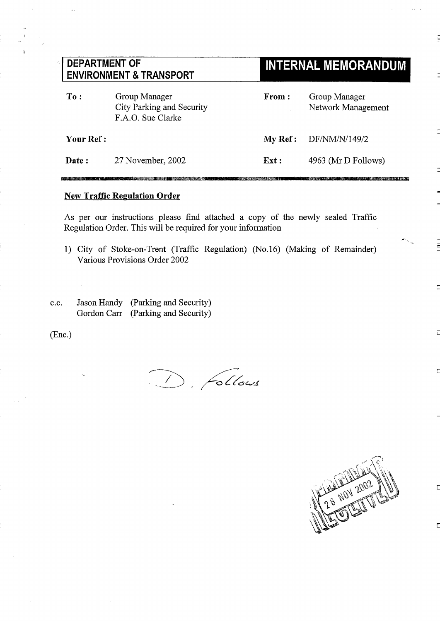| <b>DEPARTMENT OF</b><br><b>ENVIRONMENT &amp; TRANSPORT</b> |                                                                 |         | <b>INTERNAL MEMORANDUM</b>          |  |
|------------------------------------------------------------|-----------------------------------------------------------------|---------|-------------------------------------|--|
| To:                                                        | Group Manager<br>City Parking and Security<br>F.A.O. Sue Clarke | From:   | Group Manager<br>Network Management |  |
| <b>Your Ref :</b>                                          |                                                                 | My Ref: | DF/NM/N/149/2                       |  |
| Date:                                                      | 27 November, 2002                                               | Ext:    | 4963 (Mr D Follows)                 |  |

## **New Traffic Regulation Order**

As per our instructions please find attached a copy of the newly sealed Traffic Regulation Order. This will be required for your information

- 1) City of Stoke-on-Trent (Traffic Regulation) (No. 16) (Making of Remainder) Various Provisions Order 2002
- C.C . Jason Handy (Parking and Security) Gordon Carr (Parking and Security)

(Enc.)

Glows



.<br>Singkarang manahasi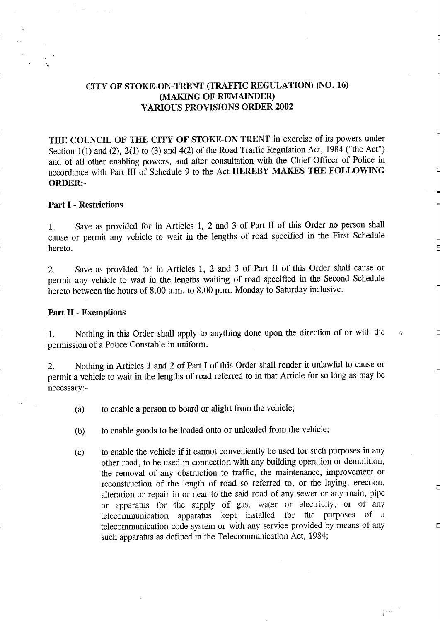# CITY OF STOKE-ON-TRENT (TRAFFIC REGULATION) (NO. 16) (MAKING OF REMAINDER) VARIOUS PROVISIONS ORDER <sup>2002</sup>

THE COUNCIL OF THE CITY OF STOKE-ON-TRENT in exercise of its powers under Section 1(1) and (2), 2(1) to (3) and 4(2) of the Road Traffic Regulation Act, 1984 ("the Act") and of all other enabling powers, and after consultation with the Chief Officer of Police in accordance with Part III of Schedule <sup>9</sup> to the Act HEREBY MAKES THE FOLLOWING ORDER:-

### Part I - Restrictions

1. Save as provided for in Articles 1, 2 and 3 of Part II of this Order no person shall cause or permit any vehicle to wait in the lengths of road specified in the First Schedule hereto .

2. Save as provided for in Articles 1, 2 and 3 of Part II of this Order shall cause or permit any vehicle to wait in the lengths waiting of road specified in the Second Schedule hereto between the hours of 8.00 a.m. to 8.00 p.m. Monday to Saturday inclusive.

### Part II - Exemptions

<sup>1</sup> . Nothing in this Order shall apply to anything done upon the direction of or with the permission of <sup>a</sup> Police Constable in uniform.

2. Nothing in Articles 1 and 2 of Part I of this Order shall render it unlawful to cause or permit <sup>a</sup> vehicle to wait in the lengths of road referred to in that Article for so long as may be necessary :-

- (a) to enable a person to board or alight from the vehicle;
- (b) to enable goods to be loaded onto or unloaded from the vehicle;
- (c) to enable the vehicle if it cannot conveniently be used for such purposes in any other road, to be used in connection with any building operation or demolition, the removal of any obstruction to traffic, the maintenance, improvement or reconstruction of the length of road so referred to, or the laying, erection, alteration or repair in or near to the said road of any sewer or any main, pipe or apparatus for the supply of gas, water or electricity, or of any telecommunication apparatus kept installed for the purposes of a telecommunication code system or with any service provided by means of any such apparatus as defined in the Telecommunication Act, 1984;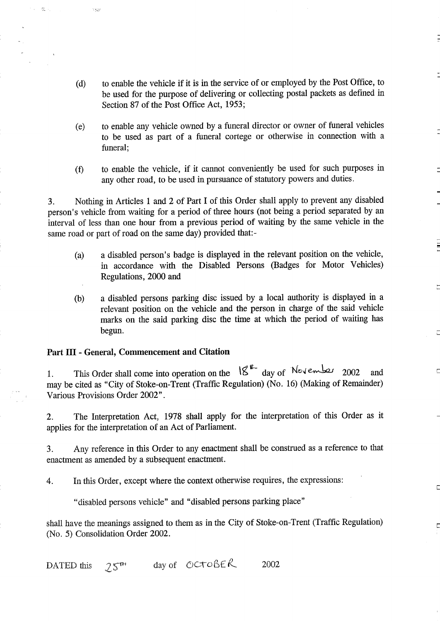- (d) to enable the vehicle if it is in the service of or employed by the Post Office, to be used for the purpose of delivering or collecting postal packets as defined in Section 87 of the Post Office Act, 1953;
- (e) to enable any vehicle owned by a funeral director or owner of funeral vehicles to be used as part of a funeral cortege or otherwise in connection with a funeral;
- to enable the vehicle, if it cannot conveniently be used for such purposes in  $(f)$ any other road, to be used in pursuance of statutory powers and duties .

3. Nothing in Articles <sup>1</sup> and 2 of Part <sup>I</sup> of this Order shall apply to prevent any disabled person's vehicle from waiting for a period of three hours (not being a period separated by an interval of less than one hour from a previous period of waiting by the same vehicle in the same road or part of road on the same day) provided that:-

- (a) a disabled person's badge is displayed in the relevant position on the vehicle, in accordance with the Disabled Persons (Badges for Motor Vehicles) Regulations, 2000 and
- (b) a disabled persons parking disc issued by a local authority is displayed in a relevant position on the vehicle and the person in charge of the said vehicle marks on the said parking disc the time at which the period of waiting has begun.

 $\square$ 

 $\Box$ 

E

### Part III - General, Commencement and Citation

 $\mathcal{A}=\mathbb{S}_{\mathbf{z}}^{\mathbf{z}}\left( \mathcal{A}\right)$ 

 $\gamma_{\rm DM}$ 

1. This Order shall come into operation on the  $18 - 14$  day of  $\sqrt{14}$  November 2002 and may be cited as "City of Stoke-on-Trent (Traffic Regulation) (No. 16) (Making of Remainder) Various Provisions Order 2002" .

2. The Interpretation Act, 1978 shall apply for the interpretation of this Order as it applies for the interpretation of an Act of Parliament.

3 . Any reference in this Order to any enactment shall be construed as a reference to that enactment as amended by a subsequent enactment.

4. In this Order, except where the context otherwise requires, the expressions :

"disabled persons vehicle" and "disabled persons parking place"

shall have the meanings assigned to them as in the City of Stoke-on-Trent (Traffic Regulation) (No. 5) Consolidation Order 2002.

DATED this  $25<sup>n</sup>$ day of  $OCTOBER$  2002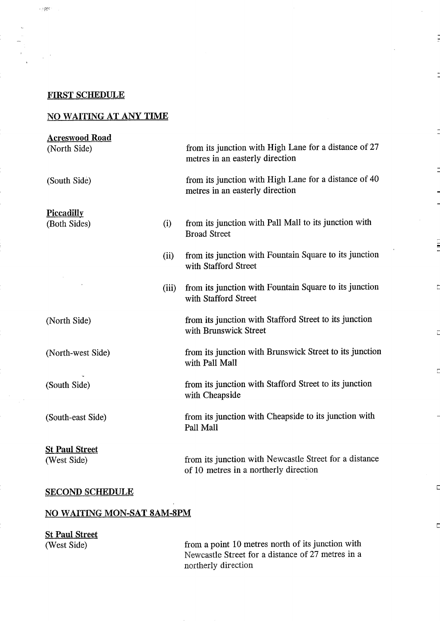### FIRST SCHEDULE

 $\sim 7\pm 0.2$ 

## NO WAITING AT ANY TIME

# from its junction with Pall Mall to its junction with Broad Street from its junction with Brunswick Street to its junction with Pall Mall from its junction with Cheapside to its junction with Pall Mall from its junction with High Lane for a distance of 27 metres in an easterly direction from its junction with High Lane for a distance of 40 metres in an easterly direction from its junction with Fountain Square to its junction with Stafford Street from its junction with Fountain Square to its junction with Stafford Street from its junction with Stafford Street to its junction with Brunswick Street from its junction with Stafford Street to its junction with Cheapside from its junction with Newcastle Street for a distance of 10 metres in a northerly direction Acreswood Road (North Side) (South Side) **Piccadilly** (Both Sides) (i) (ii) (iii) (North Side) (North-west Side) (South Side) (South-east Side) St Paul Street (West Side) SECOND SCHEDULE

F

 $\Box$ 

E

### NO WAITING MON-SAT 8AM-8PM

| <b>St Paul Street</b> |                                                   |
|-----------------------|---------------------------------------------------|
| (West Side)           | from a point 10 metres north of its junction with |
|                       | Newcastle Street for a distance of 27 metres in a |
|                       | northerly direction                               |